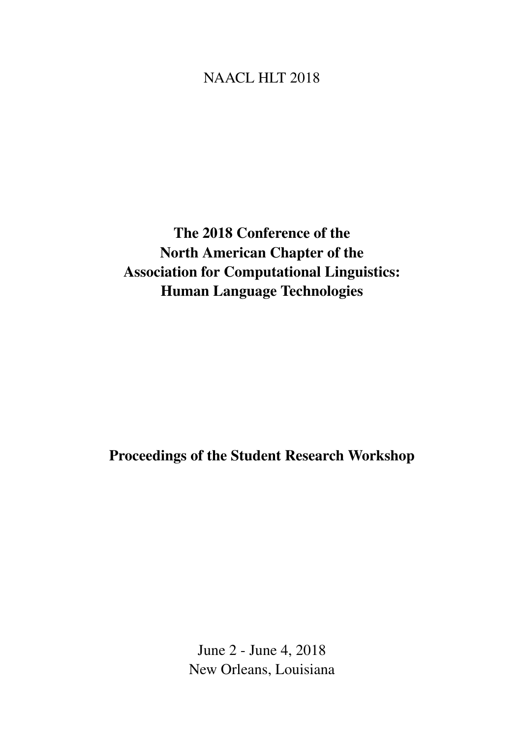# <span id="page-0-0"></span>NAACL HLT 2018

The 2018 Conference of the North American Chapter of the Association for Computational Linguistics: Human Language Technologies

Proceedings of the Student Research Workshop

June 2 - June 4, 2018 New Orleans, Louisiana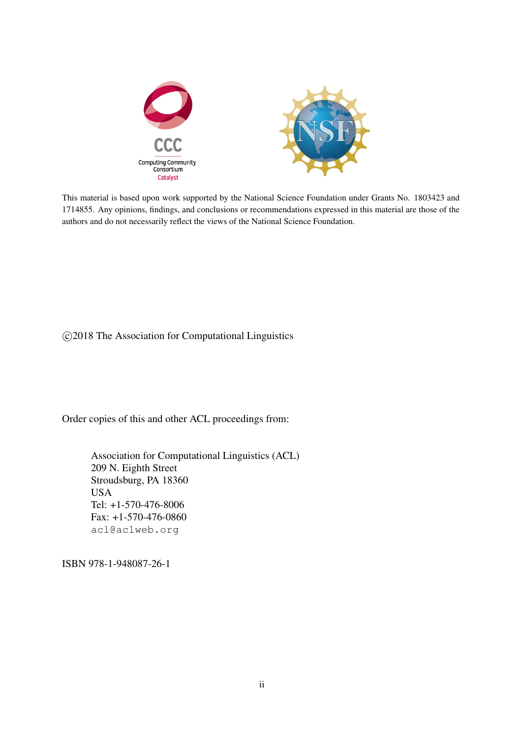

This material is based upon work supported by the National Science Foundation under Grants No. 1803423 and 1714855. Any opinions, findings, and conclusions or recommendations expressed in this material are those of the authors and do not necessarily reflect the views of the National Science Foundation.

c 2018 The Association for Computational Linguistics

Order copies of this and other ACL proceedings from:

Association for Computational Linguistics (ACL) 209 N. Eighth Street Stroudsburg, PA 18360 USA Tel: +1-570-476-8006 Fax: +1-570-476-0860 acl@aclweb.org

ISBN 978-1-948087-26-1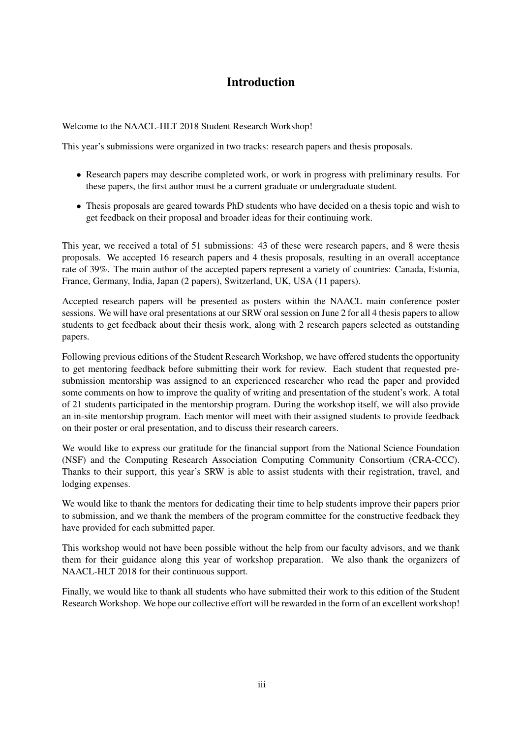# Introduction

Welcome to the NAACL-HLT 2018 Student Research Workshop!

This year's submissions were organized in two tracks: research papers and thesis proposals.

- Research papers may describe completed work, or work in progress with preliminary results. For these papers, the first author must be a current graduate or undergraduate student.
- Thesis proposals are geared towards PhD students who have decided on a thesis topic and wish to get feedback on their proposal and broader ideas for their continuing work.

This year, we received a total of 51 submissions: 43 of these were research papers, and 8 were thesis proposals. We accepted 16 research papers and 4 thesis proposals, resulting in an overall acceptance rate of 39%. The main author of the accepted papers represent a variety of countries: Canada, Estonia, France, Germany, India, Japan (2 papers), Switzerland, UK, USA (11 papers).

Accepted research papers will be presented as posters within the NAACL main conference poster sessions. We will have oral presentations at our SRW oral session on June 2 for all 4 thesis papers to allow students to get feedback about their thesis work, along with 2 research papers selected as outstanding papers.

Following previous editions of the Student Research Workshop, we have offered students the opportunity to get mentoring feedback before submitting their work for review. Each student that requested presubmission mentorship was assigned to an experienced researcher who read the paper and provided some comments on how to improve the quality of writing and presentation of the student's work. A total of 21 students participated in the mentorship program. During the workshop itself, we will also provide an in-site mentorship program. Each mentor will meet with their assigned students to provide feedback on their poster or oral presentation, and to discuss their research careers.

We would like to express our gratitude for the financial support from the National Science Foundation (NSF) and the Computing Research Association Computing Community Consortium (CRA-CCC). Thanks to their support, this year's SRW is able to assist students with their registration, travel, and lodging expenses.

We would like to thank the mentors for dedicating their time to help students improve their papers prior to submission, and we thank the members of the program committee for the constructive feedback they have provided for each submitted paper.

This workshop would not have been possible without the help from our faculty advisors, and we thank them for their guidance along this year of workshop preparation. We also thank the organizers of NAACL-HLT 2018 for their continuous support.

Finally, we would like to thank all students who have submitted their work to this edition of the Student Research Workshop. We hope our collective effort will be rewarded in the form of an excellent workshop!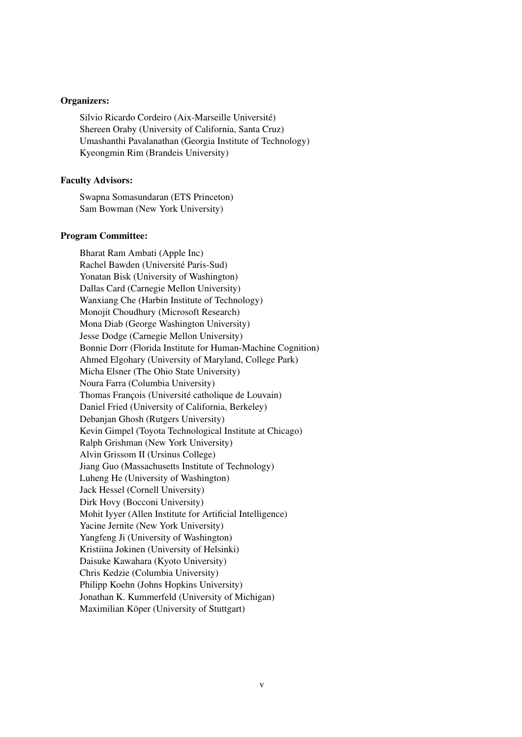#### Organizers:

Silvio Ricardo Cordeiro (Aix-Marseille Université) Shereen Oraby (University of California, Santa Cruz) Umashanthi Pavalanathan (Georgia Institute of Technology) Kyeongmin Rim (Brandeis University)

# Faculty Advisors:

Swapna Somasundaran (ETS Princeton) Sam Bowman (New York University)

#### Program Committee:

Bharat Ram Ambati (Apple Inc) Rachel Bawden (Université Paris-Sud) Yonatan Bisk (University of Washington) Dallas Card (Carnegie Mellon University) Wanxiang Che (Harbin Institute of Technology) Monojit Choudhury (Microsoft Research) Mona Diab (George Washington University) Jesse Dodge (Carnegie Mellon University) Bonnie Dorr (Florida Institute for Human-Machine Cognition) Ahmed Elgohary (University of Maryland, College Park) Micha Elsner (The Ohio State University) Noura Farra (Columbia University) Thomas François (Université catholique de Louvain) Daniel Fried (University of California, Berkeley) Debanjan Ghosh (Rutgers University) Kevin Gimpel (Toyota Technological Institute at Chicago) Ralph Grishman (New York University) Alvin Grissom II (Ursinus College) Jiang Guo (Massachusetts Institute of Technology) Luheng He (University of Washington) Jack Hessel (Cornell University) Dirk Hovy (Bocconi University) Mohit Iyyer (Allen Institute for Artificial Intelligence) Yacine Jernite (New York University) Yangfeng Ji (University of Washington) Kristiina Jokinen (University of Helsinki) Daisuke Kawahara (Kyoto University) Chris Kedzie (Columbia University) Philipp Koehn (Johns Hopkins University) Jonathan K. Kummerfeld (University of Michigan) Maximilian Köper (University of Stuttgart)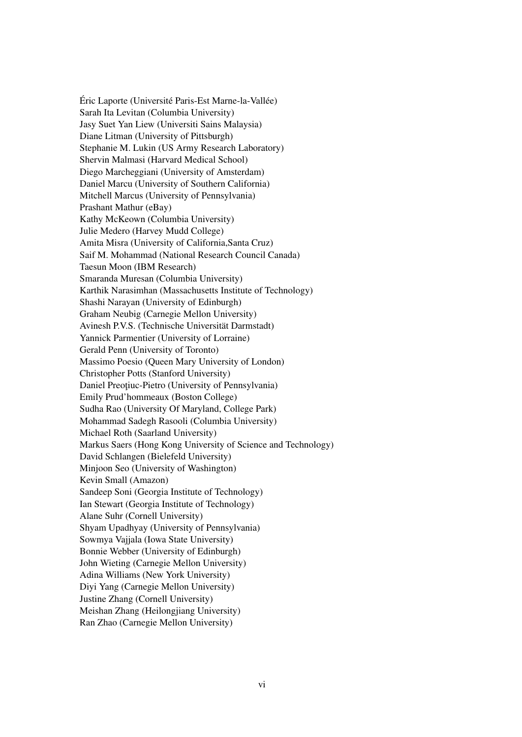Éric Laporte (Université Paris-Est Marne-la-Vallée) Sarah Ita Levitan (Columbia University) Jasy Suet Yan Liew (Universiti Sains Malaysia) Diane Litman (University of Pittsburgh) Stephanie M. Lukin (US Army Research Laboratory) Shervin Malmasi (Harvard Medical School) Diego Marcheggiani (University of Amsterdam) Daniel Marcu (University of Southern California) Mitchell Marcus (University of Pennsylvania) Prashant Mathur (eBay) Kathy McKeown (Columbia University) Julie Medero (Harvey Mudd College) Amita Misra (University of California,Santa Cruz) Saif M. Mohammad (National Research Council Canada) Taesun Moon (IBM Research) Smaranda Muresan (Columbia University) Karthik Narasimhan (Massachusetts Institute of Technology) Shashi Narayan (University of Edinburgh) Graham Neubig (Carnegie Mellon University) Avinesh P.V.S. (Technische Universität Darmstadt) Yannick Parmentier (University of Lorraine) Gerald Penn (University of Toronto) Massimo Poesio (Queen Mary University of London) Christopher Potts (Stanford University) Daniel Preoțiuc-Pietro (University of Pennsylvania) Emily Prud'hommeaux (Boston College) Sudha Rao (University Of Maryland, College Park) Mohammad Sadegh Rasooli (Columbia University) Michael Roth (Saarland University) Markus Saers (Hong Kong University of Science and Technology) David Schlangen (Bielefeld University) Minjoon Seo (University of Washington) Kevin Small (Amazon) Sandeep Soni (Georgia Institute of Technology) Ian Stewart (Georgia Institute of Technology) Alane Suhr (Cornell University) Shyam Upadhyay (University of Pennsylvania) Sowmya Vajjala (Iowa State University) Bonnie Webber (University of Edinburgh) John Wieting (Carnegie Mellon University) Adina Williams (New York University) Diyi Yang (Carnegie Mellon University) Justine Zhang (Cornell University) Meishan Zhang (Heilongjiang University) Ran Zhao (Carnegie Mellon University)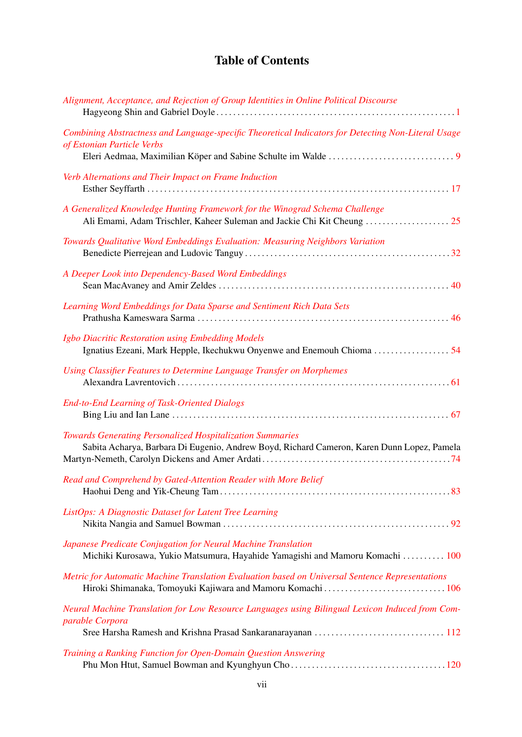# Table of Contents

| Alignment, Acceptance, and Rejection of Group Identities in Online Political Discourse                                                                  |
|---------------------------------------------------------------------------------------------------------------------------------------------------------|
| Combining Abstractness and Language-specific Theoretical Indicators for Detecting Non-Literal Usage<br>of Estonian Particle Verbs                       |
| Verb Alternations and Their Impact on Frame Induction                                                                                                   |
| A Generalized Knowledge Hunting Framework for the Winograd Schema Challenge                                                                             |
| Towards Qualitative Word Embeddings Evaluation: Measuring Neighbors Variation                                                                           |
| A Deeper Look into Dependency-Based Word Embeddings                                                                                                     |
| Learning Word Embeddings for Data Sparse and Sentiment Rich Data Sets                                                                                   |
| Igbo Diacritic Restoration using Embedding Models                                                                                                       |
| Using Classifier Features to Determine Language Transfer on Morphemes                                                                                   |
| <b>End-to-End Learning of Task-Oriented Dialogs</b>                                                                                                     |
| Towards Generating Personalized Hospitalization Summaries<br>Sabita Acharya, Barbara Di Eugenio, Andrew Boyd, Richard Cameron, Karen Dunn Lopez, Pamela |
| Read and Comprehend by Gated-Attention Reader with More Belief                                                                                          |
| ListOps: A Diagnostic Dataset for Latent Tree Learning                                                                                                  |
| Japanese Predicate Conjugation for Neural Machine Translation<br>Michiki Kurosawa, Yukio Matsumura, Hayahide Yamagishi and Mamoru Komachi  100          |
| Metric for Automatic Machine Translation Evaluation based on Universal Sentence Representations                                                         |
| Neural Machine Translation for Low Resource Languages using Bilingual Lexicon Induced from Com-<br>parable Corpora                                      |
| Training a Ranking Function for Open-Domain Question Answering                                                                                          |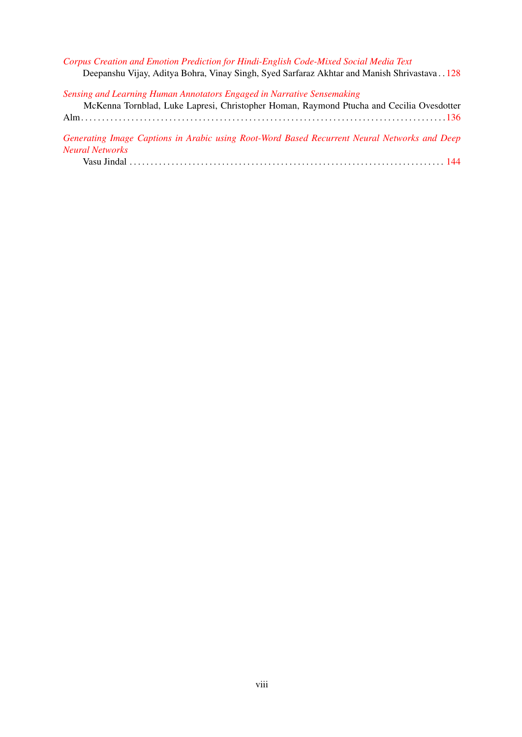*[Corpus Creation and Emotion Prediction for Hindi-English Code-Mixed Social Media Text](#page-0-0)* Deepanshu Vijay, Aditya Bohra, Vinay Singh, Syed Sarfaraz Akhtar and Manish Shrivastava . . [128](#page-0-0) *[Sensing and Learning Human Annotators Engaged in Narrative Sensemaking](#page-0-0)* McKenna Tornblad, Luke Lapresi, Christopher Homan, Raymond Ptucha and Cecilia Ovesdotter

|  |  |  |  |  | TNUNCHINA TOHIDIAU. LUNC LADICSI, UHITSIODHCI TIOHIAII, NAVIHOHU FUULIA ANU UCUMA OVESUOIICI |
|--|--|--|--|--|----------------------------------------------------------------------------------------------|
|  |  |  |  |  |                                                                                              |
|  |  |  |  |  |                                                                                              |

*[Generating Image Captions in Arabic using Root-Word Based Recurrent Neural Networks and Deep](#page-0-0) [Neural Networks](#page-0-0)*

|--|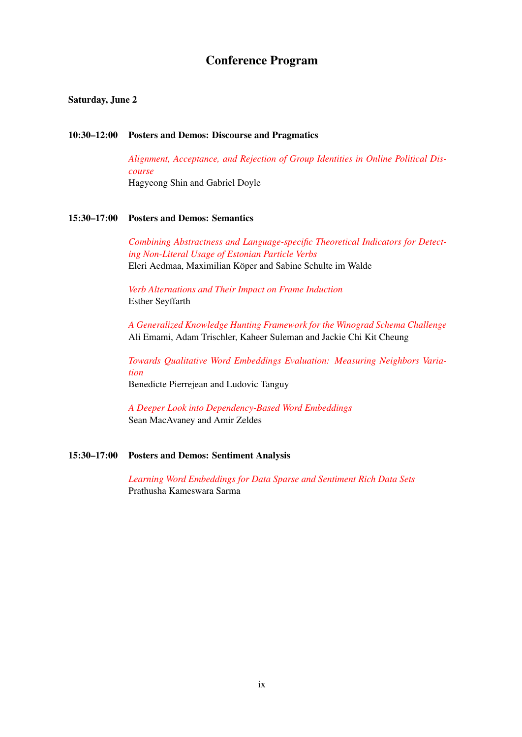# Conference Program

# Saturday, June 2

#### 10:30–12:00 Posters and Demos: Discourse and Pragmatics

*[Alignment, Acceptance, and Rejection of Group Identities in Online Political Dis](#page-0-0)[course](#page-0-0)* Hagyeong Shin and Gabriel Doyle

# 15:30–17:00 Posters and Demos: Semantics

*[Combining Abstractness and Language-specific Theoretical Indicators for Detect](#page-0-0)[ing Non-Literal Usage of Estonian Particle Verbs](#page-0-0)* Eleri Aedmaa, Maximilian Köper and Sabine Schulte im Walde

*[Verb Alternations and Their Impact on Frame Induction](#page-0-0)* Esther Seyffarth

*[A Generalized Knowledge Hunting Framework for the Winograd Schema Challenge](#page-0-0)* Ali Emami, Adam Trischler, Kaheer Suleman and Jackie Chi Kit Cheung

*[Towards Qualitative Word Embeddings Evaluation: Measuring Neighbors Varia](#page-0-0)[tion](#page-0-0)* Benedicte Pierrejean and Ludovic Tanguy

*[A Deeper Look into Dependency-Based Word Embeddings](#page-0-0)* Sean MacAvaney and Amir Zeldes

# 15:30–17:00 Posters and Demos: Sentiment Analysis

*[Learning Word Embeddings for Data Sparse and Sentiment Rich Data Sets](#page-0-0)* Prathusha Kameswara Sarma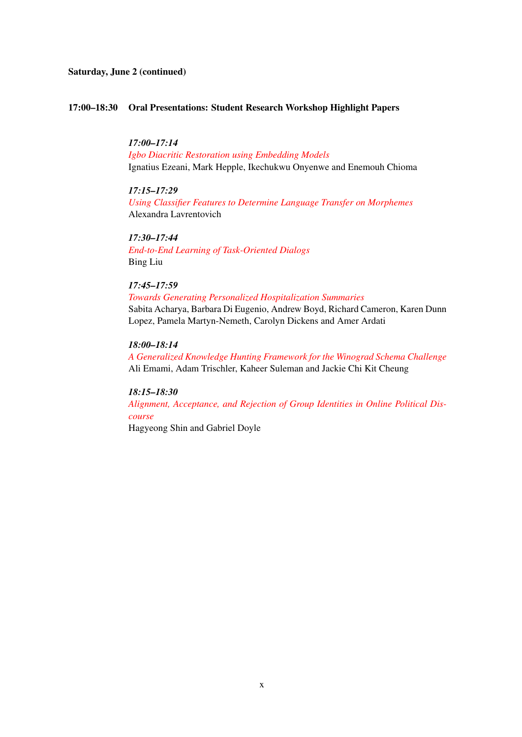# Saturday, June 2 (continued)

#### 17:00–18:30 Oral Presentations: Student Research Workshop Highlight Papers

*17:00–17:14 [Igbo Diacritic Restoration using Embedding Models](#page-0-0)* Ignatius Ezeani, Mark Hepple, Ikechukwu Onyenwe and Enemouh Chioma

*17:15–17:29 [Using Classifier Features to Determine Language Transfer on Morphemes](#page-0-0)* Alexandra Lavrentovich

*17:30–17:44 [End-to-End Learning of Task-Oriented Dialogs](#page-0-0)* Bing Liu

*17:45–17:59*

*[Towards Generating Personalized Hospitalization Summaries](#page-0-0)* Sabita Acharya, Barbara Di Eugenio, Andrew Boyd, Richard Cameron, Karen Dunn Lopez, Pamela Martyn-Nemeth, Carolyn Dickens and Amer Ardati

*18:00–18:14*

*[A Generalized Knowledge Hunting Framework for the Winograd Schema Challenge](#page-0-0)* Ali Emami, Adam Trischler, Kaheer Suleman and Jackie Chi Kit Cheung

*18:15–18:30*

*[Alignment, Acceptance, and Rejection of Group Identities in Online Political Dis](#page-0-0)[course](#page-0-0)*

Hagyeong Shin and Gabriel Doyle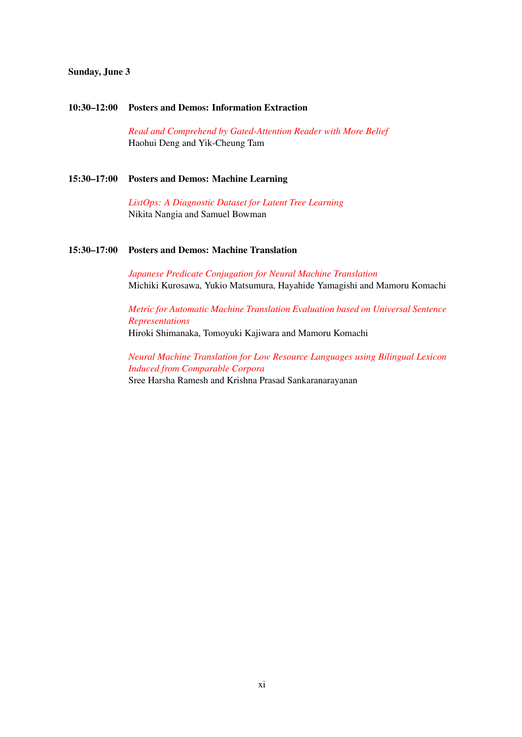# Sunday, June 3

#### 10:30–12:00 Posters and Demos: Information Extraction

*[Read and Comprehend by Gated-Attention Reader with More Belief](#page-0-0)* Haohui Deng and Yik-Cheung Tam

# 15:30–17:00 Posters and Demos: Machine Learning

*[ListOps: A Diagnostic Dataset for Latent Tree Learning](#page-0-0)* Nikita Nangia and Samuel Bowman

### 15:30–17:00 Posters and Demos: Machine Translation

*[Japanese Predicate Conjugation for Neural Machine Translation](#page-0-0)* Michiki Kurosawa, Yukio Matsumura, Hayahide Yamagishi and Mamoru Komachi

*[Metric for Automatic Machine Translation Evaluation based on Universal Sentence](#page-0-0) [Representations](#page-0-0)* Hiroki Shimanaka, Tomoyuki Kajiwara and Mamoru Komachi

*[Neural Machine Translation for Low Resource Languages using Bilingual Lexicon](#page-0-0) [Induced from Comparable Corpora](#page-0-0)* Sree Harsha Ramesh and Krishna Prasad Sankaranarayanan